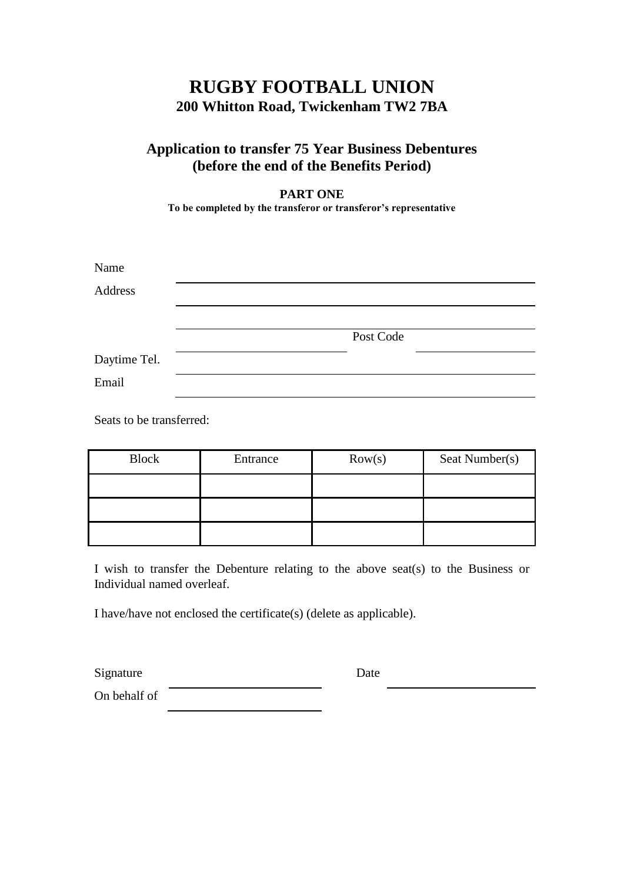## **RUGBY FOOTBALL UNION 200 Whitton Road, Twickenham TW2 7BA**

## **Application to transfer 75 Year Business Debentures (before the end of the Benefits Period)**

**PART ONE**

**To be completed by the transferor or transferor's representative**

| Name         |  |           |  |
|--------------|--|-----------|--|
| Address      |  |           |  |
|              |  |           |  |
|              |  | Post Code |  |
| Daytime Tel. |  |           |  |
| Email        |  |           |  |

Seats to be transferred:

| <b>Block</b> | Entrance | Row(s) | Seat Number(s) |
|--------------|----------|--------|----------------|
|              |          |        |                |
|              |          |        |                |
|              |          |        |                |

I wish to transfer the Debenture relating to the above seat(s) to the Business or Individual named overleaf.

I have/have not enclosed the certificate(s) (delete as applicable).

Signature Date

On behalf of